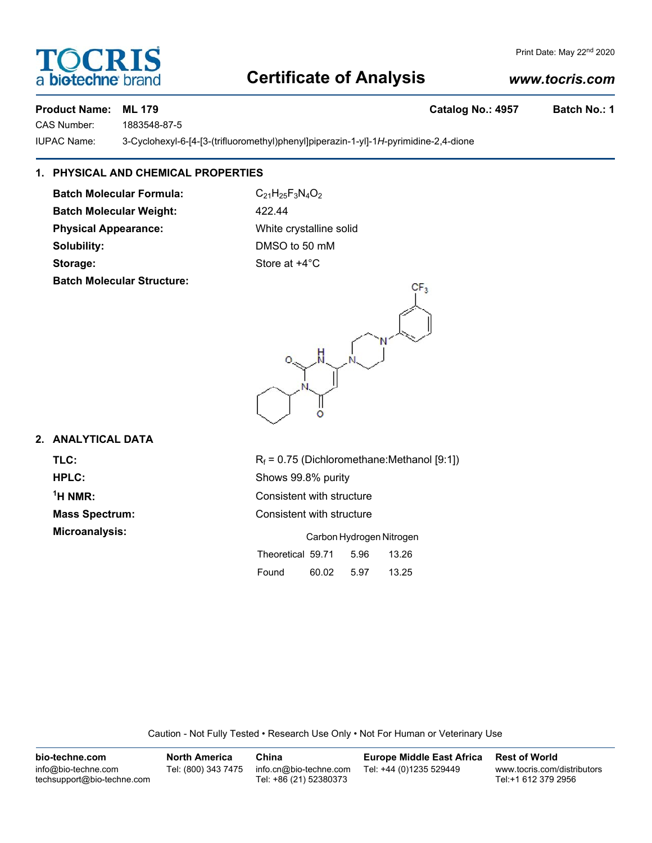# **Certificate of Analysis**

# *www.tocris.com*

Print Date: May 22<sup>nd</sup> 2020

## **Product Name: ML 179 Catalog No.: 4957 Batch No.: 1**

biotechne<sup>®</sup>

**DCRI** 

CAS Number: 1883548-87-5

IUPAC Name: 3-Cyclohexyl-6-[4-[3-(trifluoromethyl)phenyl]piperazin-1-yl]-1*H*-pyrimidine-2,4-dione

# **1. PHYSICAL AND CHEMICAL PROPERTIES**

**Batch Molecular Formula:** C<sub>21</sub>H<sub>25</sub>F<sub>3</sub>N<sub>4</sub>O<sub>2</sub> **Batch Molecular Weight:** 422.44 **Physical Appearance:** White crystalline solid

**Batch Molecular Structure:**

**Solubility:** DMSO to 50 mM **Storage:** Store at  $+4^{\circ}$ C

# **2. ANALYTICAL DATA**

 $<sup>1</sup>H NMR$ :</sup>

**TLC:** R<sub>f</sub> = 0.75 (Dichloromethane:Methanol [9:1]) **HPLC:** Shows 99.8% purity **Consistent with structure Mass Spectrum:** Consistent with structure **Microanalysis:** Carbon Hydrogen Nitrogen Theoretical 59.71 5.96 13.26

| Found | 60.02 | 5.97 | 13.25 |
|-------|-------|------|-------|

Caution - Not Fully Tested • Research Use Only • Not For Human or Veterinary Use